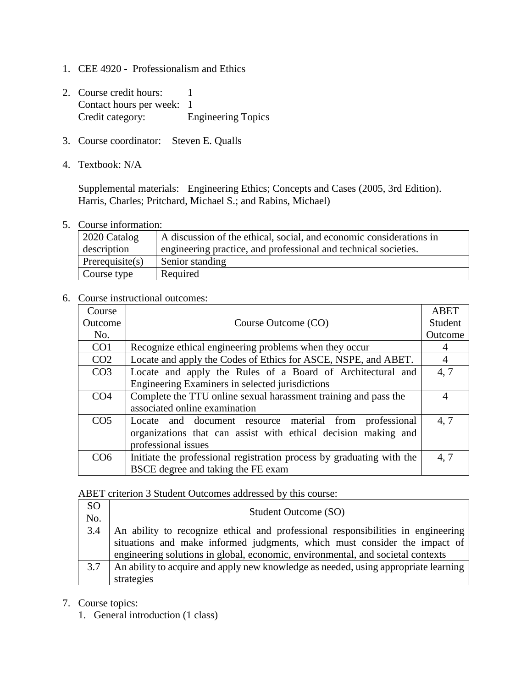- 1. CEE 4920 Professionalism and Ethics
- 2. Course credit hours: 1 Contact hours per week: 1 Credit category: Engineering Topics
- 3. Course coordinator: Steven E. Qualls
- 4. Textbook: N/A

Supplemental materials: Engineering Ethics; Concepts and Cases (2005, 3rd Edition). Harris, Charles; Pritchard, Michael S.; and Rabins, Michael)

5. Course information:

| $\vert$ 2020 Catalog | A discussion of the ethical, social, and economic considerations in |
|----------------------|---------------------------------------------------------------------|
| description          | engineering practice, and professional and technical societies.     |
| Perequisite(s)       | Senior standing                                                     |
| Course type          | Required                                                            |

## 6. Course instructional outcomes:

| Course          |                                                                       | <b>ABET</b>    |
|-----------------|-----------------------------------------------------------------------|----------------|
| Outcome         | Course Outcome (CO)                                                   | Student        |
| No.             |                                                                       | Outcome        |
| CO <sub>1</sub> | Recognize ethical engineering problems when they occur                | 4              |
| CO <sub>2</sub> | Locate and apply the Codes of Ethics for ASCE, NSPE, and ABET.        | $\overline{4}$ |
| CO <sub>3</sub> | Locate and apply the Rules of a Board of Architectural and            | 4,7            |
|                 | Engineering Examiners in selected jurisdictions                       |                |
| CO <sub>4</sub> | Complete the TTU online sexual harassment training and pass the       | $\overline{4}$ |
|                 | associated online examination                                         |                |
| CO <sub>5</sub> | Locate and document resource material from professional               | 4.7            |
|                 | organizations that can assist with ethical decision making and        |                |
|                 | professional issues                                                   |                |
| CO <sub>6</sub> | Initiate the professional registration process by graduating with the | 4,7            |
|                 | BSCE degree and taking the FE exam                                    |                |

## ABET criterion 3 Student Outcomes addressed by this course:

| <b>SO</b><br>No. | Student Outcome (SO)                                                                                                                                          |
|------------------|---------------------------------------------------------------------------------------------------------------------------------------------------------------|
| 3.4              | An ability to recognize ethical and professional responsibilities in engineering<br>situations and make informed judgments, which must consider the impact of |
|                  | engineering solutions in global, economic, environmental, and societal contexts                                                                               |
| 3.7              | An ability to acquire and apply new knowledge as needed, using appropriate learning                                                                           |
|                  | strategies                                                                                                                                                    |

- 7. Course topics:
	- 1. General introduction (1 class)